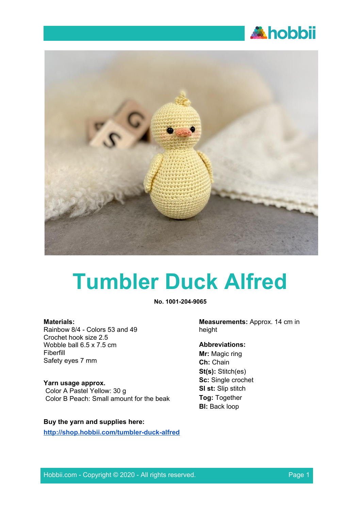



# **Tumbler Duck Alfred**

**No. 1001-204-9065**

#### **Materials:**

Rainbow 8/4 - Colors 53 and 49 Crochet hook size 2.5 Wobble ball 6.5 x 7.5 cm Fiberfill Safety eyes 7 mm

#### **Yarn usage approx.**

Color A Pastel Yellow: 30 g Color B Peach: Small amount for the beak

#### **Buy the yarn and supplies here:**

**<http://shop.hobbii.com/tumbler-duck-alfred>**

**Measurements:** Approx. 14 cm in height

# **Abbreviations:**

**Mr:** Magic ring **Ch:** Chain **St(s):** Stitch(es) **Sc:** Single crochet **Sl st:** Slip stitch **Tog:** Together **Bl:** Back loop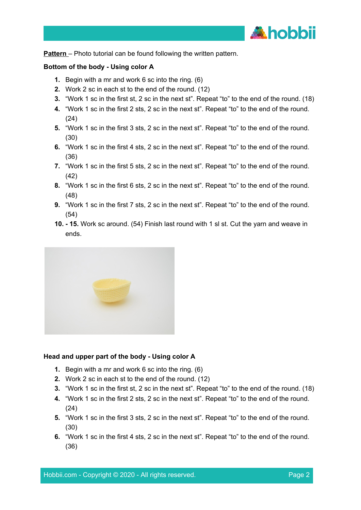

**Pattern** – Photo tutorial can be found following the written pattern.

#### **Bottom of the body - Using color A**

- **1.** Begin with a mr and work 6 sc into the ring. (6)
- **2.** Work 2 sc in each st to the end of the round. (12)
- **3.** "Work 1 sc in the first st, 2 sc in the next st". Repeat "to" to the end of the round. (18)
- **4.** "Work 1 sc in the first 2 sts, 2 sc in the next st". Repeat "to" to the end of the round. (24)
- **5.** "Work 1 sc in the first 3 sts, 2 sc in the next st". Repeat "to" to the end of the round. (30)
- **6.** "Work 1 sc in the first 4 sts, 2 sc in the next st". Repeat "to" to the end of the round. (36)
- **7.** "Work 1 sc in the first 5 sts, 2 sc in the next st". Repeat "to" to the end of the round. (42)
- **8.** "Work 1 sc in the first 6 sts, 2 sc in the next st". Repeat "to" to the end of the round. (48)
- **9.** "Work 1 sc in the first 7 sts, 2 sc in the next st". Repeat "to" to the end of the round. (54)
- **10. - 15.** Work sc around. (54) Finish last round with 1 sl st. Cut the yarn and weave in ends.



#### **Head and upper part of the body - Using color A**

- **1.** Begin with a mr and work 6 sc into the ring. (6)
- **2.** Work 2 sc in each st to the end of the round. (12)
- **3.** "Work 1 sc in the first st, 2 sc in the next st". Repeat "to" to the end of the round. (18)
- **4.** "Work 1 sc in the first 2 sts, 2 sc in the next st". Repeat "to" to the end of the round. (24)
- **5.** "Work 1 sc in the first 3 sts, 2 sc in the next st". Repeat "to" to the end of the round. (30)
- **6.** "Work 1 sc in the first 4 sts, 2 sc in the next st". Repeat "to" to the end of the round. (36)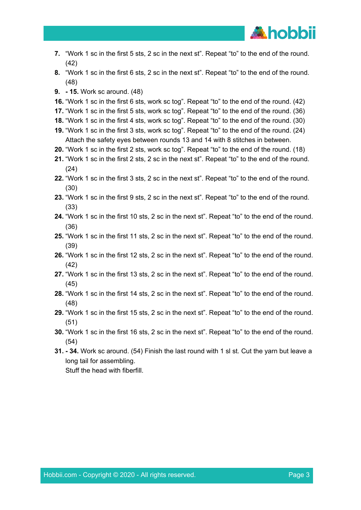

- **7.** "Work 1 sc in the first 5 sts, 2 sc in the next st". Repeat "to" to the end of the round. (42)
- **8.** "Work 1 sc in the first 6 sts, 2 sc in the next st". Repeat "to" to the end of the round. (48)
- **9. - 15.** Work sc around. (48)
- **16.** "Work 1 sc in the first 6 sts, work sc tog". Repeat "to" to the end of the round. (42)
- **17.** "Work 1 sc in the first 5 sts, work sc tog". Repeat "to" to the end of the round. (36)
- **18.** "Work 1 sc in the first 4 sts, work sc tog". Repeat "to" to the end of the round. (30)
- **19.** "Work 1 sc in the first 3 sts, work sc tog". Repeat "to" to the end of the round. (24) Attach the safety eyes between rounds 13 and 14 with 8 stitches in between.
- **20.** "Work 1 sc in the first 2 sts, work sc tog". Repeat "to" to the end of the round. (18)
- **21.** "Work 1 sc in the first 2 sts, 2 sc in the next st". Repeat "to" to the end of the round. (24)
- **22.** "Work 1 sc in the first 3 sts, 2 sc in the next st". Repeat "to" to the end of the round. (30)
- **23.** "Work 1 sc in the first 9 sts, 2 sc in the next st". Repeat "to" to the end of the round. (33)
- **24.** "Work 1 sc in the first 10 sts, 2 sc in the next st". Repeat "to" to the end of the round. (36)
- **25.** "Work 1 sc in the first 11 sts, 2 sc in the next st". Repeat "to" to the end of the round. (39)
- **26.** "Work 1 sc in the first 12 sts, 2 sc in the next st". Repeat "to" to the end of the round. (42)
- **27.** "Work 1 sc in the first 13 sts, 2 sc in the next st". Repeat "to" to the end of the round. (45)
- **28.** "Work 1 sc in the first 14 sts, 2 sc in the next st". Repeat "to" to the end of the round. (48)
- **29.** "Work 1 sc in the first 15 sts, 2 sc in the next st". Repeat "to" to the end of the round. (51)
- **30.** "Work 1 sc in the first 16 sts, 2 sc in the next st". Repeat "to" to the end of the round. (54)
- **31. - 34.** Work sc around. (54) Finish the last round with 1 sl st. Cut the yarn but leave a long tail for assembling. Stuff the head with fiberfill.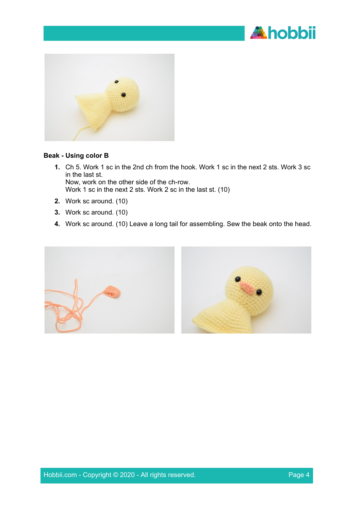



#### **Beak - Using color B**

- **1.** Ch 5. Work 1 sc in the 2nd ch from the hook. Work 1 sc in the next 2 sts. Work 3 sc in the last st. Now, work on the other side of the ch-row. Work 1 sc in the next 2 sts. Work 2 sc in the last st. (10)
- **2.** Work sc around. (10)
- **3.** Work sc around. (10)
- **4.** Work sc around. (10) Leave a long tail for assembling. Sew the beak onto the head.

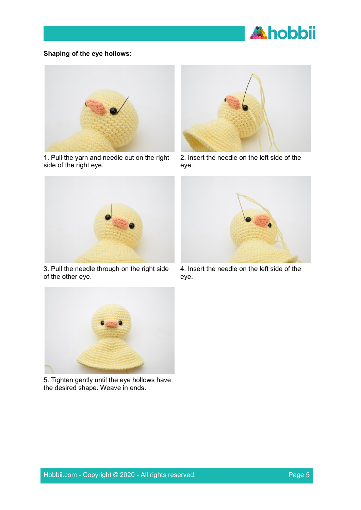

# **Shaping of the eye hollows:**



1. Pull the yarn and needle out on the right side of the right eye.



2. Insert the needle on the left side of the eye.



3. Pull the needle through on the right side of the other eye.



4. Insert the needle on the left side of the eye.



5. Tighten gently until the eye hollows have the desired shape. Weave in ends.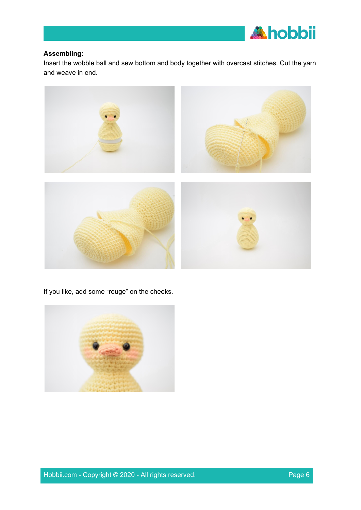

# **Assembling:**

Insert the wobble ball and sew bottom and body together with overcast stitches. Cut the yarn and weave in end.



If you like, add some "rouge" on the cheeks.

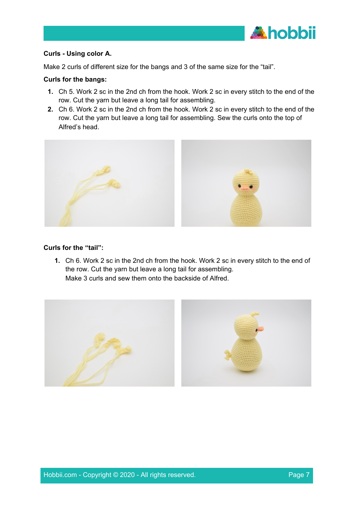

# **Curls - Using color A.**

Make 2 curls of different size for the bangs and 3 of the same size for the "tail".

### **Curls for the bangs:**

- **1.** Ch 5. Work 2 sc in the 2nd ch from the hook. Work 2 sc in every stitch to the end of the row. Cut the yarn but leave a long tail for assembling.
- **2.** Ch 6. Work 2 sc in the 2nd ch from the hook. Work 2 sc in every stitch to the end of the row. Cut the yarn but leave a long tail for assembling. Sew the curls onto the top of Alfred's head.



# **Curls for the "tail":**

**1.** Ch 6. Work 2 sc in the 2nd ch from the hook. Work 2 sc in every stitch to the end of the row. Cut the yarn but leave a long tail for assembling. Make 3 curls and sew them onto the backside of Alfred.

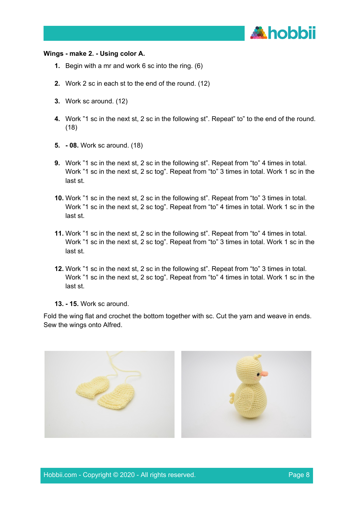

#### **Wings - make 2. - Using color A.**

- **1.** Begin with a mr and work 6 sc into the ring. (6)
- **2.** Work 2 sc in each st to the end of the round. (12)
- **3.** Work sc around. (12)
- **4.** Work "1 sc in the next st, 2 sc in the following st". Repeat" to" to the end of the round. (18)
- **5. - 08.** Work sc around. (18)
- **9.** Work "1 sc in the next st, 2 sc in the following st". Repeat from "to" 4 times in total. Work "1 sc in the next st, 2 sc tog". Repeat from "to" 3 times in total. Work 1 sc in the last st.
- **10.** Work "1 sc in the next st, 2 sc in the following st". Repeat from "to" 3 times in total. Work "1 sc in the next st, 2 sc tog". Repeat from "to" 4 times in total. Work 1 sc in the last st.
- **11.** Work "1 sc in the next st, 2 sc in the following st". Repeat from "to" 4 times in total. Work "1 sc in the next st, 2 sc tog". Repeat from "to" 3 times in total. Work 1 sc in the last st.
- **12.** Work "1 sc in the next st, 2 sc in the following st". Repeat from "to" 3 times in total. Work "1 sc in the next st, 2 sc tog". Repeat from "to" 4 times in total. Work 1 sc in the last st.
- **13. - 15.** Work sc around.

Fold the wing flat and crochet the bottom together with sc. Cut the yarn and weave in ends. Sew the wings onto Alfred.